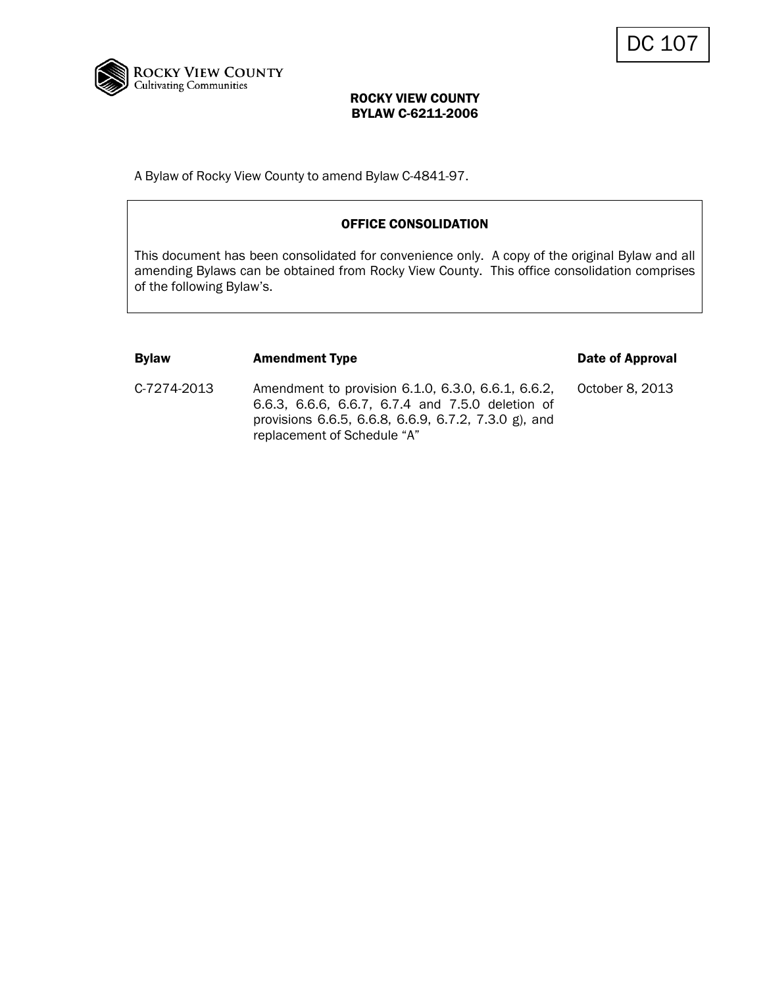

A Bylaw of Rocky View County to amend Bylaw C-4841-97.

## OFFICE CONSOLIDATION

This document has been consolidated for convenience only. A copy of the original Bylaw and all amending Bylaws can be obtained from Rocky View County. This office consolidation comprises of the following Bylaw's.

| <b>Bylaw</b> | <b>Amendment Type</b>                                                                                                                                                                         | Date of Approval |
|--------------|-----------------------------------------------------------------------------------------------------------------------------------------------------------------------------------------------|------------------|
| C-7274-2013  | Amendment to provision 6.1.0, 6.3.0, 6.6.1, 6.6.2,<br>6.6.3, 6.6.6, 6.6.7, 6.7.4 and 7.5.0 deletion of<br>provisions 6.6.5, 6.6.8, 6.6.9, 6.7.2, 7.3.0 g), and<br>replacement of Schedule "A" | October 8, 2013  |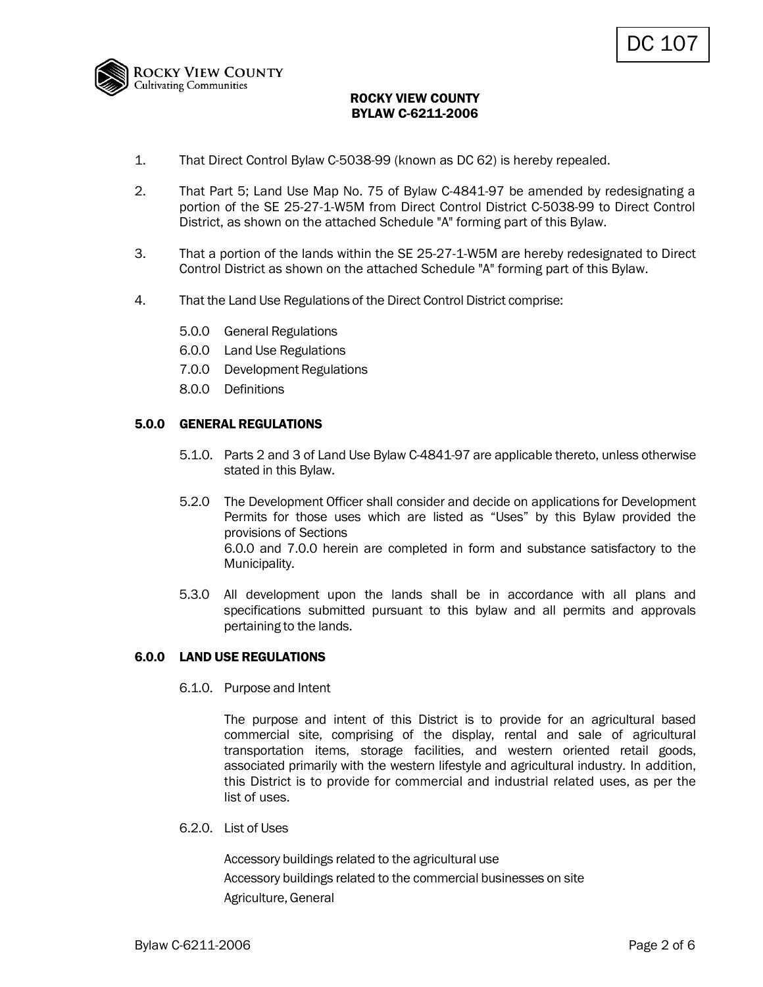

- 1. That Direct Control Bylaw C-5038-99 (known as DC 62) is hereby repealed.
- 2. That Part 5; Land Use Map No. 75 of Bylaw C-4841-97 be amended by redesignating a portion of the SE 25-27-1-W5M from Direct Control District C-5038-99 to Direct Control District, as shown on the attached Schedule "A" forming part of this Bylaw.
- 3. That a portion of the lands within the SE 25-27-1-W5M are hereby redesignated to Direct Control District as shown on the attached Schedule "A" forming part of this Bylaw.
- 4. That the Land Use Regulations of the Direct Control District comprise:
	- 5.0.0 General Regulations
	- 6.0.0 Land Use Regulations
	- 7.0.0 Development Regulations
	- 8.0.0 Definitions

#### 5.0.0 GENERAL REGULATIONS

- 5.1.0. Parts 2 and 3 of Land Use Bylaw C-4841-97 are applicable thereto, unless otherwise stated in this Bylaw.
- 5.2.0 The Development Officer shall consider and decide on applications for Development Permits for those uses which are listed as "Uses" by this Bylaw provided the provisions of Sections 6.0.0 and 7.0.0 herein are completed in form and substance satisfactory to the Municipality.
- 5.3.0 All development upon the lands shall be in accordance with all plans and specifications submitted pursuant to this bylaw and all permits and approvals pertaining to the lands.

## 6.0.0 LAND USE REGULATIONS

6.1.0. Purpose and Intent

The purpose and intent of this District is to provide for an agricultural based commercial site, comprising of the display, rental and sale of agricultural transportation items, storage facilities, and western oriented retail goods, associated primarily with the western lifestyle and agricultural industry. In addition, this District is to provide for commercial and industrial related uses, as per the list of uses.

6.2.0. List of Uses

Accessory buildings related to the agricultural use Accessory buildings related to the commercial businesses on site Agriculture, General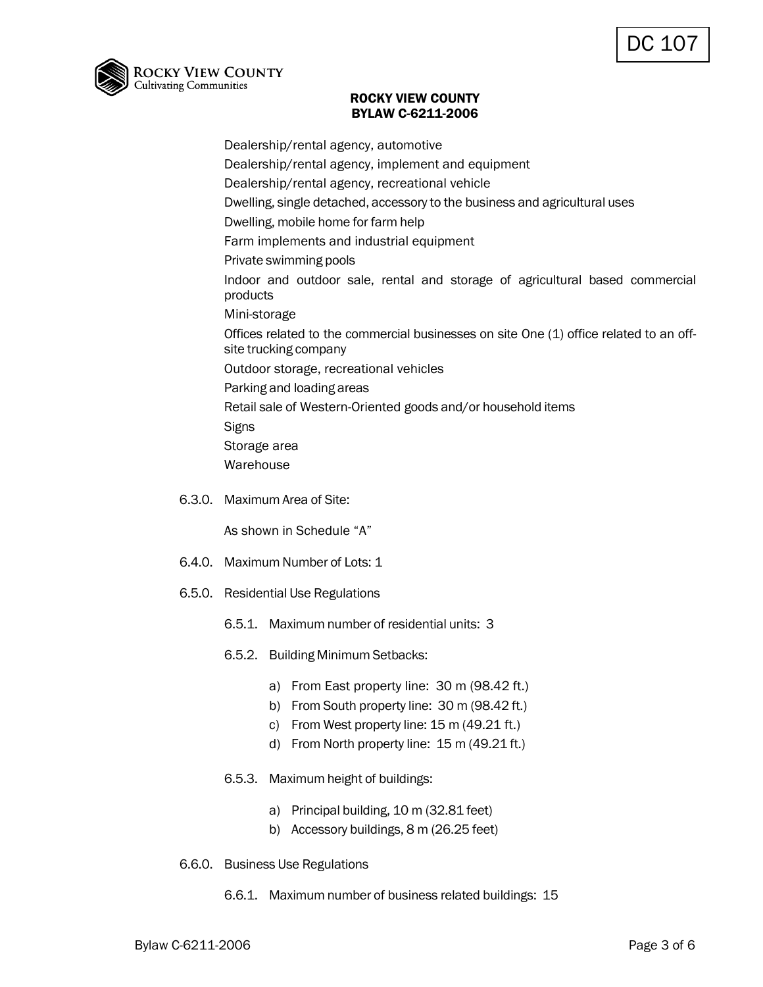

Dealership/rental agency, automotive Dealership/rental agency, implement and equipment Dealership/rental agency, recreational vehicle Dwelling, single detached, accessory to the business and agricultural uses Dwelling, mobile home for farm help Farm implements and industrial equipment Private swimming pools Indoor and outdoor sale, rental and storage of agricultural based commercial products Mini-storage Offices related to the commercial businesses on site One (1) office related to an offsite trucking company Outdoor storage, recreational vehicles Parking and loading areas Retail sale of Western-Oriented goods and/or household items **Signs** Storage area Warehouse

6.3.0. Maximum Area of Site:

As shown in Schedule "A"

- 6.4.0. Maximum Number of Lots: 1
- 6.5.0. Residential Use Regulations
	- 6.5.1. Maximum number of residential units: 3
	- 6.5.2. Building Minimum Setbacks:
		- a) From East property line: 30 m (98.42 ft.)
		- b) From South property line: 30 m (98.42 ft.)
		- c) From West property line: 15 m (49.21 ft.)
		- d) From North property line: 15 m (49.21 ft.)
	- 6.5.3. Maximum height of buildings:
		- a) Principal building, 10 m (32.81 feet)
		- b) Accessory buildings, 8 m (26.25 feet)
- 6.6.0. Business Use Regulations
	- 6.6.1. Maximum number of business related buildings: 15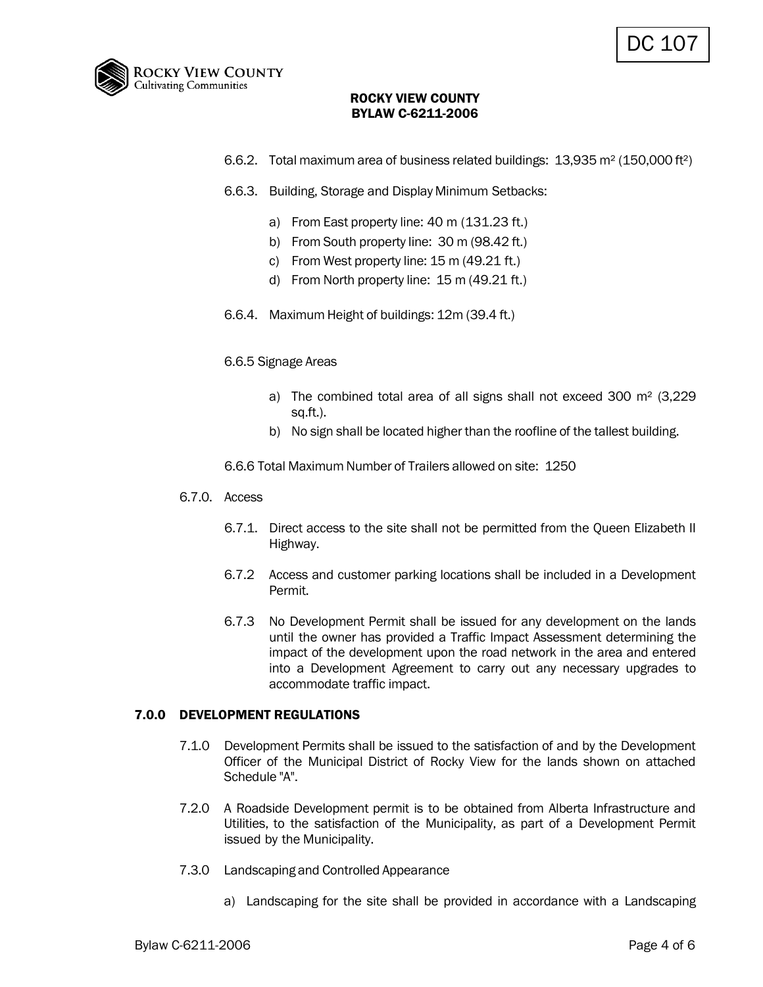

- 6.6.2. Total maximum area of business related buildings: 13,935 m² (150,000 ft²)
- 6.6.3. Building, Storage and Display Minimum Setbacks:
	- a) From East property line: 40 m (131.23 ft.)
	- b) From South property line: 30 m (98.42 ft.)
	- c) From West property line: 15 m (49.21 ft.)
	- d) From North property line: 15 m (49.21 ft.)
- 6.6.4. Maximum Height of buildings: 12m (39.4 ft.)

#### 6.6.5 Signage Areas

- a) The combined total area of all signs shall not exceed 300 m² (3,229 sq.ft.).
- b) No sign shall be located higher than the roofline of the tallest building.

6.6.6 Total Maximum Number of Trailers allowed on site: 1250

- 6.7.0. Access
	- 6.7.1. Direct access to the site shall not be permitted from the Queen Elizabeth II Highway.
	- 6.7.2 Access and customer parking locations shall be included in a Development Permit.
	- 6.7.3 No Development Permit shall be issued for any development on the lands until the owner has provided a Traffic Impact Assessment determining the impact of the development upon the road network in the area and entered into a Development Agreement to carry out any necessary upgrades to accommodate traffic impact.

#### 7.0.0 DEVELOPMENT REGULATIONS

- 7.1.0 Development Permits shall be issued to the satisfaction of and by the Development Officer of the Municipal District of Rocky View for the lands shown on attached Schedule "A".
- 7.2.0 A Roadside Development permit is to be obtained from Alberta Infrastructure and Utilities, to the satisfaction of the Municipality, as part of a Development Permit issued by the Municipality.
- 7.3.0 Landscaping and Controlled Appearance
	- a) Landscaping for the site shall be provided in accordance with a Landscaping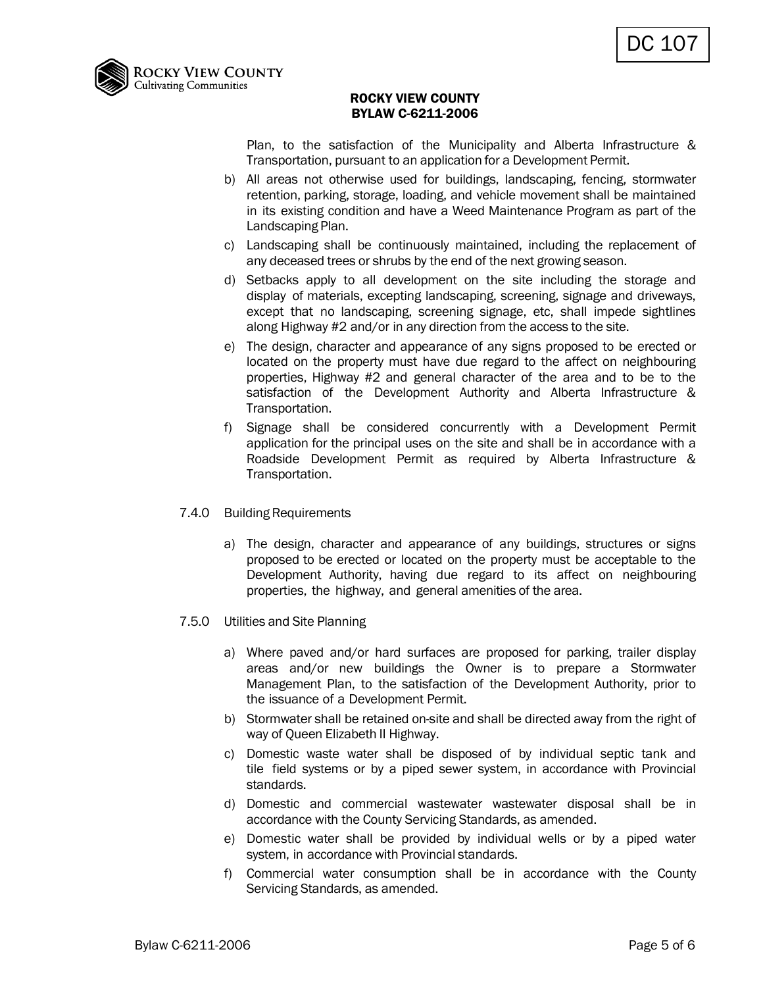

Plan, to the satisfaction of the Municipality and Alberta Infrastructure & Transportation, pursuant to an application for a Development Permit.

- b) All areas not otherwise used for buildings, landscaping, fencing, stormwater retention, parking, storage, loading, and vehicle movement shall be maintained in its existing condition and have a Weed Maintenance Program as part of the Landscaping Plan.
- c) Landscaping shall be continuously maintained, including the replacement of any deceased trees or shrubs by the end of the next growing season.
- d) Setbacks apply to all development on the site including the storage and display of materials, excepting landscaping, screening, signage and driveways, except that no landscaping, screening signage, etc, shall impede sightlines along Highway #2 and/or in any direction from the access to the site.
- e) The design, character and appearance of any signs proposed to be erected or located on the property must have due regard to the affect on neighbouring properties, Highway #2 and general character of the area and to be to the satisfaction of the Development Authority and Alberta Infrastructure & Transportation.
- f) Signage shall be considered concurrently with a Development Permit application for the principal uses on the site and shall be in accordance with a Roadside Development Permit as required by Alberta Infrastructure & Transportation.
- 7.4.0 Building Requirements
	- a) The design, character and appearance of any buildings, structures or signs proposed to be erected or located on the property must be acceptable to the Development Authority, having due regard to its affect on neighbouring properties, the highway, and general amenities of the area.
- 7.5.0 Utilities and Site Planning
	- a) Where paved and/or hard surfaces are proposed for parking, trailer display areas and/or new buildings the Owner is to prepare a Stormwater Management Plan, to the satisfaction of the Development Authority, prior to the issuance of a Development Permit.
	- b) Stormwater shall be retained on-site and shall be directed away from the right of way of Queen Elizabeth II Highway.
	- c) Domestic waste water shall be disposed of by individual septic tank and tile field systems or by a piped sewer system, in accordance with Provincial standards.
	- d) Domestic and commercial wastewater wastewater disposal shall be in accordance with the County Servicing Standards, as amended.
	- e) Domestic water shall be provided by individual wells or by a piped water system, in accordance with Provincial standards.
	- f) Commercial water consumption shall be in accordance with the County Servicing Standards, as amended.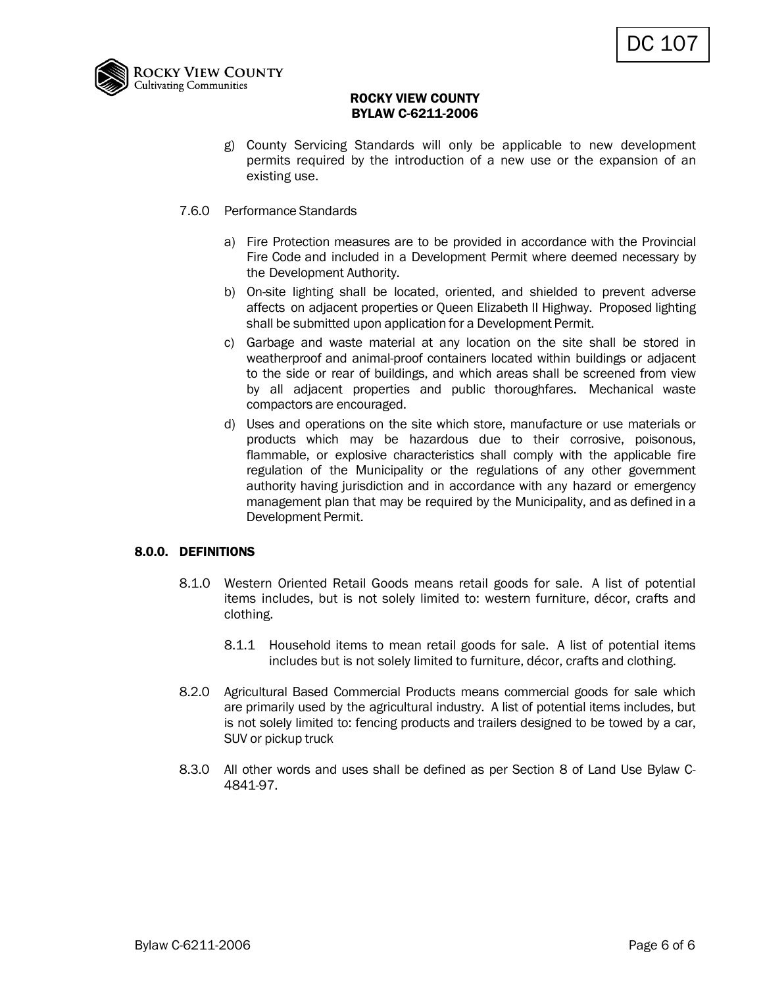

- g) County Servicing Standards will only be applicable to new development permits required by the introduction of a new use or the expansion of an existing use.
- 7.6.0 Performance Standards
	- a) Fire Protection measures are to be provided in accordance with the Provincial Fire Code and included in a Development Permit where deemed necessary by the Development Authority.
	- b) On-site lighting shall be located, oriented, and shielded to prevent adverse affects on adjacent properties or Queen Elizabeth II Highway. Proposed lighting shall be submitted upon application for a Development Permit.
	- c) Garbage and waste material at any location on the site shall be stored in weatherproof and animal-proof containers located within buildings or adjacent to the side or rear of buildings, and which areas shall be screened from view by all adjacent properties and public thoroughfares. Mechanical waste compactors are encouraged.
	- d) Uses and operations on the site which store, manufacture or use materials or products which may be hazardous due to their corrosive, poisonous, flammable, or explosive characteristics shall comply with the applicable fire regulation of the Municipality or the regulations of any other government authority having jurisdiction and in accordance with any hazard or emergency management plan that may be required by the Municipality, and as defined in a Development Permit.

## 8.0.0. DEFINITIONS

- 8.1.0 Western Oriented Retail Goods means retail goods for sale. A list of potential items includes, but is not solely limited to: western furniture, décor, crafts and clothing.
	- 8.1.1 Household items to mean retail goods for sale. A list of potential items includes but is not solely limited to furniture, décor, crafts and clothing.
- 8.2.0 Agricultural Based Commercial Products means commercial goods for sale which are primarily used by the agricultural industry. A list of potential items includes, but is not solely limited to: fencing products and trailers designed to be towed by a car, SUV or pickup truck
- 8.3.0 All other words and uses shall be defined as per Section 8 of Land Use Bylaw C-4841-97.